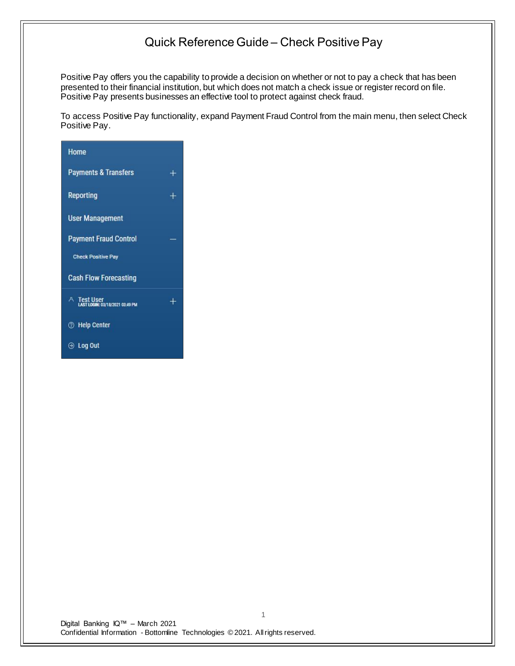Positive Pay offers you the capability to provide a decision on whether or not to pay a check that has been presented to their financial institution, but which does not match a check issue or register record on file. Positive Pay presents businesses an effective tool to protect against check fraud.

To access Positive Pay functionality, expand Payment Fraud Control from the main menu, then select Check Positive Pay.



Digital Banking IQ™ – March 2021 Confidential Information - Bottomline Technologies © 2021. Allrights reserved.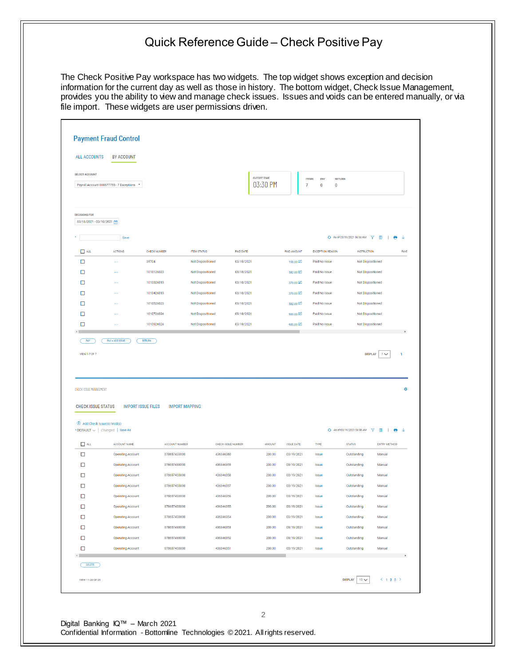The Check Positive Pay workspace has two widgets. The top widget shows exception and decision information for the current day as well as those in history. The bottom widget, Check Issue Management, provides you the ability to view and manage check issues. Issues and voids can be entered manually, or via file import. These widgets are user permissions driven.

|                                                                                                                                                         | <b>BY ACCOUNT</b>                                    |                              |                                        |                          |                    |                          |                                                    |                                                  |                                                            |
|---------------------------------------------------------------------------------------------------------------------------------------------------------|------------------------------------------------------|------------------------------|----------------------------------------|--------------------------|--------------------|--------------------------|----------------------------------------------------|--------------------------------------------------|------------------------------------------------------------|
| <b>SELECT ACCOUNT</b>                                                                                                                                   |                                                      |                              |                                        |                          | <b>CUTOFF TIME</b> |                          |                                                    |                                                  |                                                            |
|                                                                                                                                                         | Payroll Account 000677755 - 7 Exceptions *           |                              |                                        |                          | 03:30 PM           |                          | <b>ITEMS</b><br>PAY<br>7<br>$\pmb{0}$<br>$\pmb{0}$ | <b>RETURN</b>                                    |                                                            |
|                                                                                                                                                         |                                                      |                              |                                        |                          |                    |                          |                                                    |                                                  |                                                            |
| <b>DECISIONS FOR</b>                                                                                                                                    |                                                      |                              |                                        |                          |                    |                          |                                                    |                                                  |                                                            |
| 03/18/2021 - 03/18/2021                                                                                                                                 |                                                      |                              |                                        |                          |                    |                          |                                                    |                                                  |                                                            |
|                                                                                                                                                         | Save                                                 |                              |                                        |                          |                    |                          |                                                    | $\Theta$ As of 03/19/2021 06:56 AM $\mathcal{V}$ | $\rm{m}$<br>$\overline{1}$<br>Θ.                           |
| $\Box$ ALL                                                                                                                                              | <b>ACTIONS</b>                                       | <b>CHECK NUMBER</b>          | <b>ITEM STATUS</b>                     | PAID DATE                |                    | PAID AMOUNT              | <b>EXCEPTION REASON</b>                            | <b>INSTRUCTION</b>                               |                                                            |
| $\Box$                                                                                                                                                  |                                                      | 35704                        | Not Dispositioned                      | 03/18/2021               |                    | 198.00                   | Paid No Issue                                      | Not Dispositioned                                |                                                            |
| □                                                                                                                                                       | $\cdots$                                             | 1010126023                   | Not Dispositioned                      | 03/18/2021               |                    | 582.00                   | Paid No Issue                                      | Not Dispositioned                                |                                                            |
| □                                                                                                                                                       |                                                      | 1010326015                   | Not Dispositioned                      | 03/18/2021<br>03/18/2021 |                    | 370.00                   | Paid No Issue                                      | Not Dispositioned                                |                                                            |
| □<br>□                                                                                                                                                  | 44<br>$\cdots$                                       | 1010426015<br>1010526023     | Not Dispositioned<br>Not Dispositioned | 03/18/2021               |                    | 370.00 $\Box$            | Paid No Issue<br>Paid No Issue                     | Not Dispositioned<br>Not Dispositioned           |                                                            |
| $\Box$                                                                                                                                                  | $\ddotsc$                                            | 1010726024                   | Not Dispositioned                      | 03/18/2021               |                    | 582.00<br>985.00         | Paid No Issue                                      | Not Dispositioned                                |                                                            |
|                                                                                                                                                         |                                                      |                              |                                        |                          |                    |                          |                                                    |                                                  |                                                            |
| □                                                                                                                                                       |                                                      | 1010926024                   | Not Dispositioned                      | 03/18/2021               |                    | 985.00                   | Paid No Issue                                      | Not Dispositioned                                |                                                            |
|                                                                                                                                                         | <b>IMPORT ISSUE FILES</b>                            | <b>IMPORT MAPPING</b>        |                                        |                          |                    |                          |                                                    |                                                  |                                                            |
|                                                                                                                                                         |                                                      |                              |                                        |                          |                    |                          |                                                    |                                                  |                                                            |
| $\oplus$ Add Check Issue(s)/Void(s)                                                                                                                     |                                                      |                              |                                        |                          |                    |                          |                                                    | ◆ As of 03/19/2021 06:58 AM ▼                    | $\hfill\blacksquare$<br>$\mathbf{L}$<br>$\bigoplus$ $\vee$ |
| $\Box$ ALL                                                                                                                                              | ACCOUNT NAME                                         | ACCOUNT NUMBER               |                                        | CHECK ISSUE NUMBER       | <b>AMOUNT</b>      | <b>ISSUE DATE</b>        | TYPE                                               | <b>STATUS</b>                                    | <b>ENTRY METHOD</b>                                        |
| □                                                                                                                                                       | <b>Operating Account</b>                             | 078657433000                 | 436346360                              |                          | 200.00             | 03/19/2021               | Issue<br>Issue                                     | Outstanding                                      | Manual<br>Manual                                           |
| □                                                                                                                                                       | <b>Operating Account</b><br><b>Operating Account</b> | 078657433000<br>078657433000 | 436346359<br>436346358                 |                          | 200.00<br>200.00   | 03/19/2021<br>03/19/2021 | Issue                                              | Outstanding<br>Outstanding                       | Manual                                                     |
| □<br>□                                                                                                                                                  | <b>Operating Account</b>                             | 078657433000                 | 436346357                              |                          | 200.00             | 03/19/2021               | Issue                                              | Outstanding                                      | Manual                                                     |
|                                                                                                                                                         | <b>Operating Account</b>                             | 078657433000                 | 436346356                              |                          | 200.00             | 03/19/2021               | Issue                                              | Outstanding                                      | Manual                                                     |
| □<br>□                                                                                                                                                  | <b>Operating Account</b>                             | 078657433000                 | 436346355                              |                          | 200.00             | 03/19/2021               | Issue                                              | Outstanding                                      | Manual                                                     |
|                                                                                                                                                         | <b>Operating Account</b>                             | 078657433000                 | 436346354                              |                          | 200.00             | 03/19/2021               | Issue                                              | Outstanding                                      | Manual                                                     |
| $\Box$<br>□                                                                                                                                             | <b>Operating Account</b>                             | 078657433000                 | 436346353                              |                          | 200.00             | 03/19/2021               | <b>Issue</b>                                       | Outstanding                                      | Manual                                                     |
| □                                                                                                                                                       | <b>Operating Account</b>                             | 078657433000                 | 436346352                              |                          | 200.00             | 03/19/2021               | Issue                                              | Outstanding                                      | Manual                                                     |
| □                                                                                                                                                       | <b>Operating Account</b>                             | 078657433000                 | 436346351                              |                          | 200.00             | 03/19/2021               | Issue                                              | Outstanding                                      | Manual                                                     |
| DELETE                                                                                                                                                  |                                                      |                              |                                        |                          |                    |                          |                                                    |                                                  |                                                            |
| CHECK ISSUE MANAGEMENT<br><b>CHECK ISSUE STATUS</b><br>$\cdot$ DEFAULT $\vee$ Changed Save As<br>$\left\langle \cdot \right\rangle$<br>VIEW 11-20 OF 25 |                                                      |                              |                                        |                          |                    |                          |                                                    | $10 \times$<br><b>DISPLAY</b>                    | $\langle$ 123 $\rangle$                                    |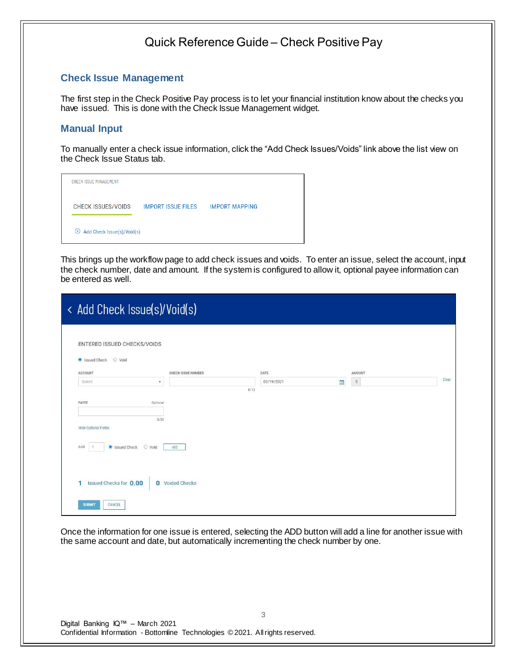#### **Check Issue Management**

The first step in the Check Positive Pay process is to let your financial institution know about the checks you have issued. This is done with the Check Issue Management widget.

#### **Manual Input**

To manually enter a check issue information, click the "Add Check Issues/Voids" link above the list view on the Check Issue Status tab.

| CHECK ISSUE MANAGEMENT              |                           |                       |  |
|-------------------------------------|---------------------------|-----------------------|--|
| <b>CHECK ISSUES/VOIDS</b>           | <b>IMPORT ISSUE FILES</b> | <b>IMPORT MAPPING</b> |  |
| $\oplus$ Add Check Issue(s)/Void(s) |                           |                       |  |

This brings up the workflow page to add check issues and voids. To enter an issue, select the account, input the check number, date and amount. If the system is configured to allow it, optional payee information can be entered as well.

|                             | < Add Check Issue(s)/Void(s) |                           |      |            |              |                           |  |       |
|-----------------------------|------------------------------|---------------------------|------|------------|--------------|---------------------------|--|-------|
| ENTERED ISSUED CHECKS/VOIDS |                              |                           |      |            |              |                           |  |       |
| Signal Street Street O Void |                              |                           |      |            |              |                           |  |       |
| <b>ACCOUNT</b>              |                              | <b>CHECK ISSUE NUMBER</b> |      | DATE       |              | AMOUNT                    |  |       |
| Select                      | $\check{}$                   |                           |      | 03/19/2021 | $\mathbb{H}$ | $\boldsymbol{\mathsf{S}}$ |  | Clear |
|                             |                              |                           | 0/13 |            |              |                           |  |       |
| PAYEE                       | Optional                     |                           |      |            |              |                           |  |       |
|                             |                              |                           |      |            |              |                           |  |       |
| <b>Hide Optional Fields</b> | 0/50                         |                           |      |            |              |                           |  |       |
| Sissued Check<br>Add        | O Void                       | ADD                       |      |            |              |                           |  |       |
| Issued Checks for 0.00<br>п |                              | <b>0</b> Voided Checks    |      |            |              |                           |  |       |
| CANCEL<br><b>SUBMIT</b>     |                              |                           |      |            |              |                           |  |       |

Once the information for one issue is entered, selecting the ADD button will add a line for another issue with the same account and date, but automatically incrementing the check number by one.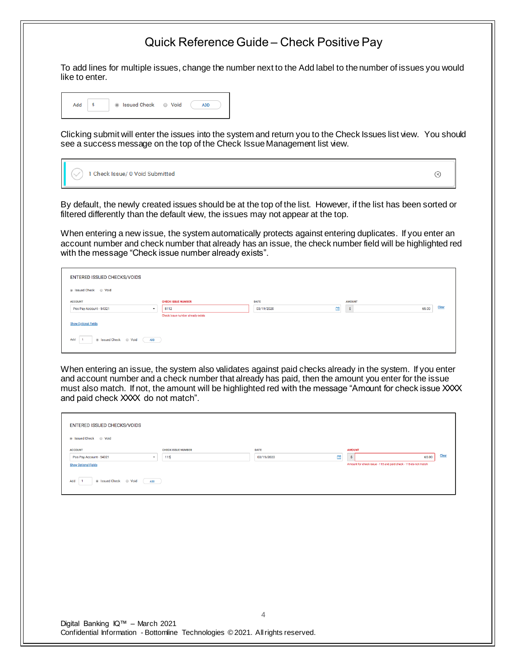To add lines for multiple issues, change the number next to the Add label to the number of issues you would like to enter.



Clicking submit will enter the issues into the system and return you to the Check Issues list view. You should see a success message on the top of the Check Issue Management list view.

|  | $(\vee)$ 1 Check Issue/ 0 Void Submitted |
|--|------------------------------------------|
|--|------------------------------------------|

 $\circledR$ 

By default, the newly created issues should be at the top of the list. However, if the list has been sorted or filtered differently than the default view, the issues may not appear at the top.

When entering a new issue, the system automatically protects against entering duplicates. If you enter an account number and check number that already has an issue, the check number field will be highlighted red with the message "Check issue number already exists".

| ENTERED ISSUED CHECKS/VOIDS                         |                                   |                 |               |                |
|-----------------------------------------------------|-----------------------------------|-----------------|---------------|----------------|
|                                                     |                                   |                 |               |                |
| <b>ACCOUNT</b>                                      | <b>CHECK ISSUE NUMBER</b>         | <b>DATE</b>     | <b>AMOUNT</b> |                |
| Pos Pay Account - 54321<br>$\overline{\phantom{a}}$ | 5112                              | 曲<br>03/19/2020 | $\mathbf{s}$  | Clear<br>65.00 |
|                                                     | Check issue number already exists |                 |               |                |
| <b>Show Optional Fields</b>                         |                                   |                 |               |                |
| Add<br><b>ADD</b>                                   |                                   |                 |               |                |

When entering an issue, the system also validates against paid checks already in the system. If you enter and account number and a check number that already has paid, then the amount you enter for the issue must also match. If not, the amount will be highlighted red with the message "Amount for check issue XXXX and paid check XXXX do not match".

| ENTERED ISSUED CHECKS/VOIDS<br>● Issued Check ● Void                                                                                                                                                                                                                                                                                              |                                  |                                |                                                                                                |       |
|---------------------------------------------------------------------------------------------------------------------------------------------------------------------------------------------------------------------------------------------------------------------------------------------------------------------------------------------------|----------------------------------|--------------------------------|------------------------------------------------------------------------------------------------|-------|
| <b>ACCOUNT</b><br>Pos Pay Account - 54321<br>$\blacksquare$<br><b>Show Optional Fields</b><br>Signal Street Street & Street Street Street Street Street Street Street Street Street Street Street Street Street Street Street Street Street Street Street Street Street Street Street Street Street Street Street Street Str<br>Add<br><b>ADD</b> | <b>CHECK ISSUE NUMBER</b><br>115 | <b>DATE</b><br>曲<br>03/19/2020 | <b>AMOUNT</b><br>65.00<br>-5<br>Amount for check issue - 115 and paid check - 115 do not match | Clear |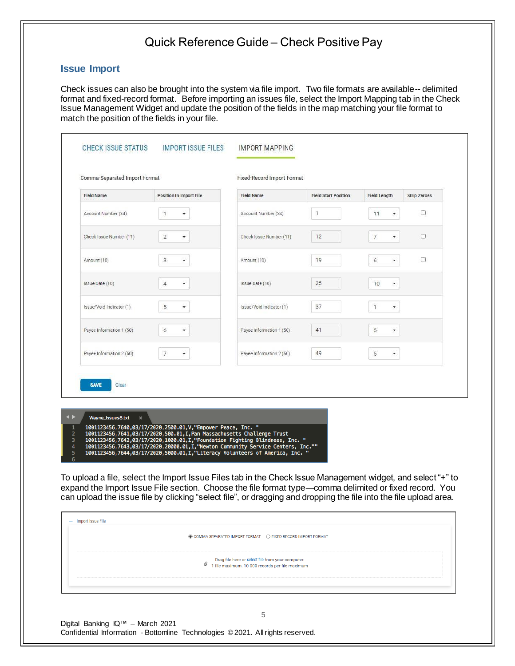#### **Issue Import**

Check issues can also be brought into the system via file import. Two file formats are available-- delimited format and fixed-record format. Before importing an issues file, select the Import Mapping tab in the Check Issue Management Widget and update the position of the fields in the map matching your file format to match the position of the fields in your file.

| <b>Field Name</b>                          |                                | <b>Field Name</b>        | <b>Field Start Position</b> |                                  |                     |
|--------------------------------------------|--------------------------------|--------------------------|-----------------------------|----------------------------------|---------------------|
|                                            | <b>Position In Import File</b> |                          |                             | <b>Field Length</b>              | <b>Strip Zeroes</b> |
| Account Number (34)                        | ÷<br>1                         | Account Number (34)      | $\mathbf{1}$                | 11                               | п                   |
| Check Issue Number (11)                    | $\overline{2}$<br>٠            | Check Issue Number (11)  | 12                          | $\overline{7}$<br>$\blacksquare$ | o                   |
| Amount (10)                                | 3<br>۰                         | Amount (10)              | 19                          | 6<br>٠                           | O                   |
| Issue Date (10)                            | $\overline{4}$<br>÷            | Issue Date (10)          | 25                          | 10<br>$\overline{\phantom{a}}$   |                     |
| Issue/Void Indicator (1)                   | 5<br>۰                         | Issue/Void Indicator (1) | 37                          | $\mathbf{1}$<br>٠                |                     |
| Payee Information 1 (50)                   | 6<br>۰                         | Payee Information 1 (50) | 41                          | 5<br>۰                           |                     |
| Payee Information 2 (50)                   | $\overline{7}$<br>۰            | Payee Information 2 (50) | 49                          | 5<br>۰                           |                     |
| <b>SAVE</b><br>Clear                       |                                |                          |                             |                                  |                     |
|                                            |                                |                          |                             |                                  |                     |
| Wayne_Issues8.txt<br>$\boldsymbol{\times}$ |                                |                          |                             |                                  |                     |

To upload a file, select the Import Issue Files tab in the Check Issue Management widget, and select "+" to expand the Import Issue File section. Choose the file format type—comma delimited or fixed record. You can upload the issue file by clicking "select file", or dragging and dropping the file into the file upload area.

| - Import Issue File | © COMMA SEPARATED IMPORT FORMAT    Q FIXED RECORD IMPORT FORMAT                                    |  |
|---------------------|----------------------------------------------------------------------------------------------------|--|
|                     | Drag file here or select file from your computer.<br>internaximum. 10 000 records per file maximum |  |
|                     |                                                                                                    |  |

Digital Banking IQ™ – March 2021 Confidential Information - Bottomline Technologies © 2021. Allrights reserved.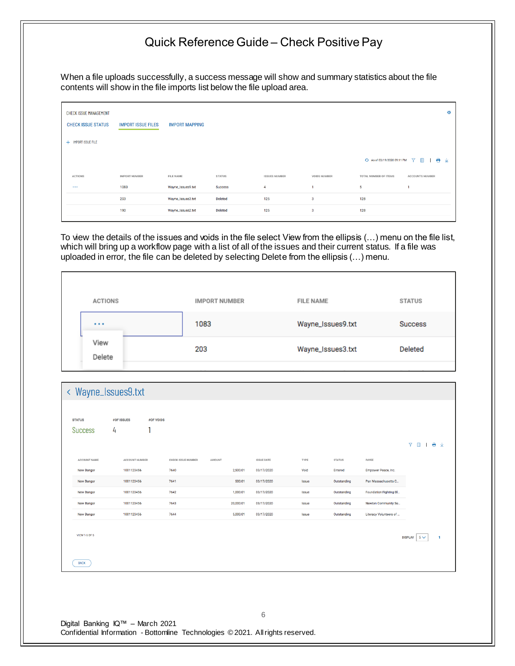When a file uploads successfully, a success message will show and summary statistics about the file contents will show in the file imports list below the file upload area.

| <b>CHECK ISSUE MANAGEMENT</b><br><b>CHECK ISSUE STATUS</b> | <b>IMPORT ISSUE FILES</b> | <b>IMPORT MAPPING</b> |                |                      |                     |                             | 森                      |
|------------------------------------------------------------|---------------------------|-----------------------|----------------|----------------------|---------------------|-----------------------------|------------------------|
| + IMPORT ISSUE FILE                                        |                           |                       |                |                      |                     |                             |                        |
|                                                            |                           |                       |                |                      |                     | ← As of 03/19/2020 09:11 PM | 了 皿<br>1 ● ⊻           |
| <b>ACTIONS</b>                                             | <b>IMPORT NUMBER</b>      | FILE NAME             | <b>STATUS</b>  | <b>ISSUES NUMBER</b> | <b>VOIDS NUMBER</b> | TOTAL NUMBER OF ITEMS       | <b>ACCOUNTS NUMBER</b> |
| $\sim$ $\sim$ $\sim$                                       | 1083                      | Wayne_Issues9.txt     | <b>Success</b> | 4                    |                     | 5                           | n                      |
|                                                            | 203                       | Wayne_Issues3.txt     | <b>Deleted</b> | 125                  | 3                   | 128                         |                        |
|                                                            | 190                       | Wayne_Issues2.txt     | Deleted        | 125                  | 3                   | 128                         |                        |
|                                                            |                           |                       |                |                      |                     |                             |                        |

To view the details of the issues and voids in the file select View from the ellipsis (…) menu on the file list, which will bring up a workflow page with a list of all of the issues and their current status. If a file was uploaded in error, the file can be deleted by selecting Delete from the ellipsis (…) menu.

| <b>ACTIONS</b> | <b>IMPORT NUMBER</b> | <b>FILE NAME</b>  | <b>STATUS</b>  |
|----------------|----------------------|-------------------|----------------|
| $\cdots$       | 1083                 | Wayne_Issues9.txt | <b>Success</b> |
| View<br>Delete | 203                  | Wayne_Issues3.txt | Deleted        |
|                |                      |                   |                |

| <b>STATUS</b>        | <b>#OF ISSUES</b>     | #OF VOIDS                 |        |           |                   |              |               |                        |                  |   |
|----------------------|-----------------------|---------------------------|--------|-----------|-------------------|--------------|---------------|------------------------|------------------|---|
| <b>Success</b>       | 4                     |                           |        |           |                   |              |               |                        |                  |   |
|                      |                       |                           |        |           |                   |              |               |                        | <b>7 1 1 8 V</b> |   |
| ACCOUNT NAME         | <b>ACCOUNT NUMBER</b> | <b>CHECK ISSUE NUMBER</b> | AMOUNT |           | <b>ISSUE DATE</b> | TYPE         | <b>STATUS</b> | PAYEE                  |                  |   |
| New Bangor           | 1001123456            | 7640                      |        | 2,500.01  | 03/17/2020        | Void         | Entered       | Empower Peace, Inc.    |                  |   |
| New Bangor           | 1001123456            | 7641                      |        | 500.01    | 03/17/2020        | Issue        | Outstanding   | Pan Massachusetts C    |                  |   |
| New Bangor           | 1001123456            | 7642                      |        | 1,000.01  | 03/17/2020        | Issue        | Outstanding   | Foundation Fighting Bl |                  |   |
| New Bangor           | 1001123456            | 7643                      |        | 20,000.01 | 03/17/2020        | Issue        | Outstanding   | Newton Community Se    |                  |   |
| New Bangor           | 1001123456            | 7644                      |        | 5,000.01  | 03/17/2020        | <b>Issue</b> | Outstanding   | Literacy Volunteers of |                  |   |
| <b>VIEW 1-5 OF 5</b> |                       |                           |        |           |                   |              |               |                        | DISPLAY 5 $\vee$ | 1 |
| <b>BACK</b>          |                       |                           |        |           |                   |              |               |                        |                  |   |
|                      |                       |                           |        |           |                   |              |               |                        |                  |   |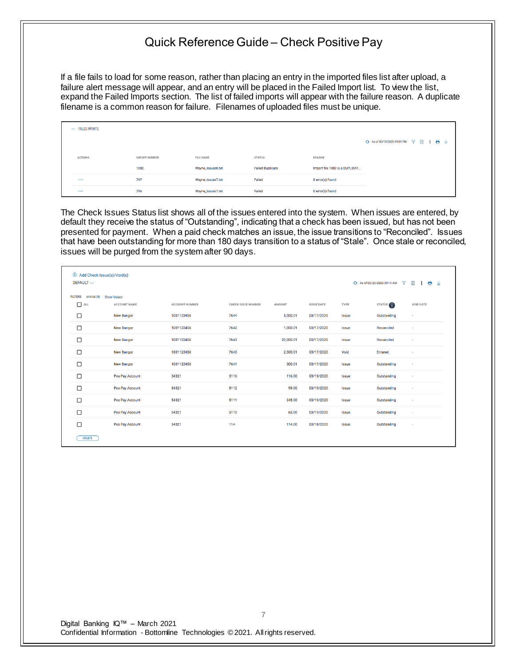If a file fails to load for some reason, rather than placing an entry in the imported files list after upload, a failure alert message will appear, and an entry will be placed in the Failed Import list. To view the list, expand the Failed Imports section. The list of failed imports will appear with the failure reason. A duplicate filename is a common reason for failure. Filenames of uploaded files must be unique.

| - FAILED IMPORTS |                      |                   |                  |                                |                                                        |
|------------------|----------------------|-------------------|------------------|--------------------------------|--------------------------------------------------------|
|                  |                      |                   |                  |                                | → As of 03/19/2020 09:09 PM $\rightarrow$ Ⅲ<br>$1 + 2$ |
| ACTIONS          | <b>IMPORT NUMBER</b> | FILE NAME         | <b>STATUS</b>    | <b>REASON</b>                  |                                                        |
|                  | 1082                 | Wayne_Issues8.txt | Failed-Duplicate | Import file 1082 is a DUPLICAT |                                                        |
|                  | 797                  | Wayne_Issues7.txt | Failed           | 0 error(s) found               |                                                        |
| $\cdots$         | 796                  | Wayne_Issues7.txt | Failed           | 0 error(s) found               |                                                        |

The Check Issues Status list shows all of the issues entered into the system. When issues are entered, by default they receive the status of "Outstanding", indicating that a check has been issued, but has not been presented for payment. When a paid check matches an issue, the issue transitions to "Reconciled". Issues that have been outstanding for more than 180 days transition to a status of "Stale". Once stale or reconciled, issues will be purged from the system after 90 days.

| $\oplus$ Add Check Issue(s)/Void(s)<br>DEFAULT $\smallsmile$ |                    |                       |                           |           |                   |              | +3 As of 03/20/2020 09:11 AM | 8<br>Θ.<br>$\blacksquare$<br>⊻ |
|--------------------------------------------------------------|--------------------|-----------------------|---------------------------|-----------|-------------------|--------------|------------------------------|--------------------------------|
| <b>STATUS (4)</b><br><b>FILTERS</b>                          | <b>Show Values</b> |                       |                           |           |                   |              |                              |                                |
| $\Box$ ALL                                                   | ACCOUNT NAME       | <b>ACCOUNT NUMBER</b> | <b>CHECK ISSUE NUMBER</b> | AMOUNT    | <b>ISSUE DATE</b> | TYPE         | STATUS <sub>Y</sub>          | <b>VOID DATE</b>               |
| □                                                            | <b>New Bangor</b>  | 1001123456            | 7644                      | 5,000.01  | 03/17/2020        | <b>Issue</b> | Outstanding                  | $\blacksquare$                 |
| $\Box$                                                       | <b>New Bangor</b>  | 1001123456            | 7642                      | 1,000.01  | 03/17/2020        | Issue        | Reconciled                   | $\sim$                         |
| $\Box$                                                       | <b>New Bangor</b>  | 1001123456            | 7643                      | 20,000.01 | 03/17/2020        | Issue        | Reconciled                   |                                |
| □                                                            | <b>New Bangor</b>  | 1001123456            | 7640                      | 2,500.01  | 03/17/2020        | Void         | Entered                      |                                |
| $\Box$                                                       | <b>New Bangor</b>  | 1001123456            | 7641                      | 500.01    | 03/17/2020        | Issue        | Outstanding                  |                                |
| □                                                            | Pos Pay Account    | 54321                 | 5116                      | 116,00    | 03/19/2020        | Issue        | Outstanding                  | $\sim$                         |
| $\Box$                                                       | Pos Pay Account    | 54321                 | 5112                      | 99.00     | 03/19/2020        | Issue        | Outstanding                  | $\sim$                         |
| $\Box$                                                       | Pos Pay Account    | 54321                 | 5111                      | 345.00    | 03/19/2020        | Issue        | Outstanding                  | $\overline{\phantom{a}}$       |
| □                                                            | Pos Pay Account    | 54321                 | 5110                      | 65.00     | 03/19/2020        | <b>Issue</b> | Outstanding                  |                                |
| $\Box$                                                       | Pos Pay Account    | 54321                 | 114                       | 114.00    | 03/18/2020        | Issue        | Outstanding                  |                                |
| <b>DELETE</b>                                                |                    |                       |                           |           |                   |              |                              |                                |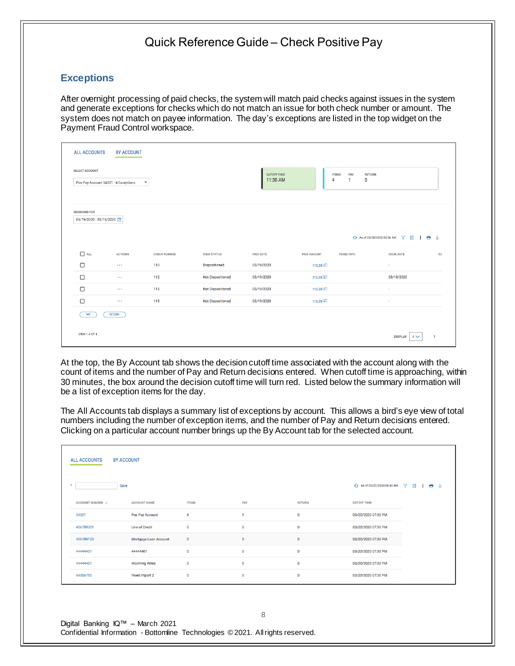#### **Exceptions**

After overnight processing of paid checks, the system will match paid checks against issues in the system and generate exceptions for checks which do not match an issue for both check number or amount. The system does not match on payee information. The day's exceptions are listed in the top widget on the Payment Fraud Control workspace.

| <b>ALL ACCOUNTS</b>                             | <b>BY ACCOUNT</b>                    |                      |                          |                                |                   |                                       |                |
|-------------------------------------------------|--------------------------------------|----------------------|--------------------------|--------------------------------|-------------------|---------------------------------------|----------------|
| <b>SELECT ACCOUNT</b>                           | Pos Pay Account 54321 - 4 Exceptions | $\blacktriangledown$ |                          | <b>CUTOFF TIME</b><br>11:30 AM | <b>ITEMS</b><br>4 | PAY<br><b>RETURN</b><br>$\bf{0}$<br>1 |                |
| <b>DECISIONS FOR</b><br>03/19/2020 - 03/19/2020 |                                      |                      |                          |                                |                   |                                       |                |
| $\hfill \square$<br>ALL                         | <b>ACTIONS</b>                       | CHECK NUMBER         | <b>ITEM STATUS</b>       | PAID DATE                      | PAID AMOUNT       | PAYEE INFO<br><b>ISSUE DATE</b>       | <b>ISS</b>     |
| $\Box$                                          | $\sim$ $\sim$ $\sim$                 | 110                  | Dispositioned            | 03/19/2020                     | 110.00            | $\sim$                                |                |
| $\Box$                                          | $\sim$ $\sim$ $\sim$                 | 112                  | <b>Not Dispositioned</b> | 03/19/2020                     | 212.00            | 03/18/2020                            |                |
| $\Box$                                          | $\sim$ $\sim$                        | 115                  | <b>Not Dispositioned</b> | 03/19/2020                     | 115.00            | $\sim$                                |                |
| $\Box$                                          | $\sim$ $\sim$ $\sim$                 | 115                  | <b>Not Dispositioned</b> | 03/19/2020                     | 115.00            | ×.                                    |                |
| PAY                                             | <b>RETURN</b>                        |                      |                          |                                |                   |                                       |                |
| VIEW 1-4 OF 4                                   |                                      |                      |                          |                                |                   | <b>DISPLAY</b><br>$4\vee$             | $\overline{1}$ |

At the top, the By Account tab shows the decision cutoff time associated with the account along with the count of items and the number of Pay and Return decisions entered. When cutoff time is approaching, within 30 minutes, the box around the decision cutoff time will turn red. Listed below the summary information will be a list of exception items for the day.

The All Accounts tab displays a summary list of exceptions by account. This allows a bird's eye view of total numbers including the number of exception items, and the number of Pay and Return decisions entered. Clicking on a particular account number brings up the By Account tab for the selected account.

| <b>ALL ACCOUNTS</b>         | <b>BY ACCOUNT</b>     |              |              |               |                                            |
|-----------------------------|-----------------------|--------------|--------------|---------------|--------------------------------------------|
| ٠.                          | Save                  |              |              |               | ← As of 03/20/2020 08:40 AM<br>18 ±<br>了 皿 |
| ACCOUNT NUMBER $\downarrow$ | ACCOUNT NAME          | <b>ITEMS</b> | PAY          | <b>RETURN</b> | <b>CUTOFF TIME</b>                         |
| 54321                       | Pos Pay Account       | 4            | $\mathbf{1}$ | $\bullet$     | 03/20/2020 07:30 PM                        |
| 456789321                   | Line of Credit        | $\mathbf 0$  | $\mathbf{0}$ | $\bullet$     | 03/20/2020 07:30 PM                        |
| 456789123                   | Mortgage Loan Account | $\mathbf 0$  | $\mathbf 0$  | $\mathbf 0$   | 03/20/2020 07:30 PM                        |
| 44444401                    | 44444401              | $\mathbf 0$  | $\mathbf 0$  | $\pmb{0}$     | 03/20/2020 07:30 PM                        |
| 44444401                    | <b>Incoming Wires</b> | $\mathbf 0$  | $\mathbf 0$  | $\bullet$     | 03/20/2020 07:30 PM                        |
| 44006750                    | Fixed Import 2        | 0            | $\bullet$    | $\bullet$     | 03/20/2020 07:30 PM                        |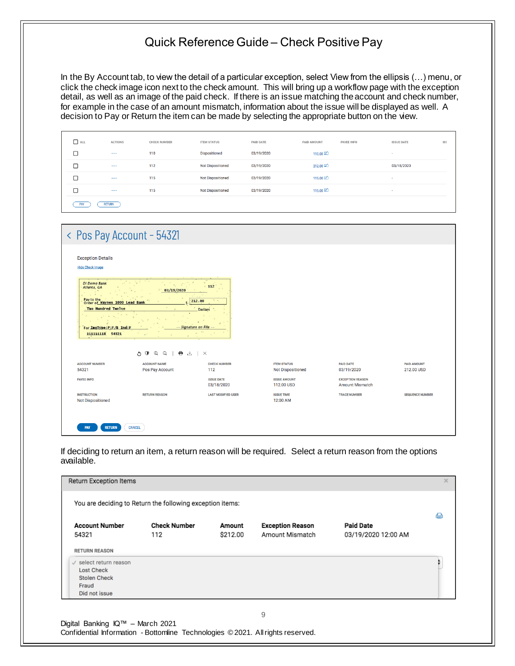In the By Account tab, to view the detail of a particular exception, select View from the ellipsis (…) menu, or click the check image icon next to the check amount. This will bring up a workflow page with the exception detail, as well as an image of the paid check. If there is an issue matching the account and check number, for example in the case of an amount mismatch, information about the issue will be displayed as well. A decision to Pay or Return the item can be made by selecting the appropriate button on the view.

| $\Box$ all | ACTIONS              | CHECK NUMBER | <b>ITEM STATUS</b>       | PAID DATE  | PAID AMOUNT<br>PAYEE INFO | <b>ISSUE DATE</b> | ISS |
|------------|----------------------|--------------|--------------------------|------------|---------------------------|-------------------|-----|
| П          | $\cdots$             | 110          | <b>Dispositioned</b>     | 03/19/2020 | $110.00$ $\Box$           | $\sim$            |     |
| Г          | $\cdots$             | 112          | <b>Not Dispositioned</b> | 03/19/2020 | 212.00                    | 03/18/2020        |     |
| Г          | $\cdots$             | 115          | <b>Not Dispositioned</b> | 03/19/2020 | 115,00                    | $\sim$            |     |
| Г          | $\sim$ $\sim$ $\sim$ | 115          | <b>Not Dispositioned</b> | 03/19/2020 | $115.00$ $\Box$           | $\sim$            |     |
| PAY        | <b>RETURN</b>        |              |                          |            |                           |                   |     |

| < Pos Pay Account - 54321                                                                                                           |                                        |                                                            |                                                |                                                   |                                  |
|-------------------------------------------------------------------------------------------------------------------------------------|----------------------------------------|------------------------------------------------------------|------------------------------------------------|---------------------------------------------------|----------------------------------|
| <b>Exception Details</b><br><b>Hide Check Image</b>                                                                                 |                                        |                                                            |                                                |                                                   |                                  |
| DI Demo Bank<br>Atlanta, GA<br>Pay to the Waynes 1000 Lead Bank<br>Two Hundred Twelve<br>For IngType:P;F/B Ind:F<br>111111118 54321 | 03/19/2020                             | 112<br>212.00<br><b>Dollars</b><br>-- Signature on File -- |                                                |                                                   |                                  |
|                                                                                                                                     | $\oplus$<br>● 出<br>$\Theta$<br>O O     | $\times$                                                   |                                                |                                                   |                                  |
| <b>ACCOUNT NUMBER</b><br>54321                                                                                                      | <b>ACCOUNT NAME</b><br>Pos Pay Account | <b>CHECK NUMBER</b><br>112                                 | <b>ITEM STATUS</b><br><b>Not Dispositioned</b> | <b>PAID DATE</b><br>03/19/2020                    | <b>PAID AMOUNT</b><br>212.00 USD |
| <b>PAYEE INFO</b>                                                                                                                   |                                        | <b>ISSUE DATE</b><br>03/18/2020                            | <b>ISSUE AMOUNT</b><br>112.00 USD              | <b>EXCEPTION REASON</b><br><b>Amount Mismatch</b> |                                  |
| <b>INSTRUCTION</b><br><b>Not Dispositioned</b>                                                                                      | <b>RETURN REASON</b>                   | <b>LAST MODIFIED USER</b>                                  | <b>ISSUE TIME</b><br>12:00 AM                  | <b>TRACE NUMBER</b>                               | <b>SEQUENCE NUMBER</b>           |
| <b>RETURN</b><br><b>PAY</b>                                                                                                         | CANCEL                                 |                                                            |                                                |                                                   |                                  |

If deciding to return an item, a return reason will be required. Select a return reason from the options available.

|                                                                                                         | You are deciding to Return the following exception items: |                    |                                            |                                         | 合 |
|---------------------------------------------------------------------------------------------------------|-----------------------------------------------------------|--------------------|--------------------------------------------|-----------------------------------------|---|
| <b>Account Number</b><br>54321                                                                          | <b>Check Number</b><br>112                                | Amount<br>\$212.00 | <b>Exception Reason</b><br>Amount Mismatch | <b>Paid Date</b><br>03/19/2020 12:00 AM |   |
| <b>RETURN REASON</b>                                                                                    |                                                           |                    |                                            |                                         |   |
| $\checkmark$ select return reason<br><b>Lost Check</b><br><b>Stolen Check</b><br>Fraud<br>Did not issue |                                                           |                    |                                            |                                         |   |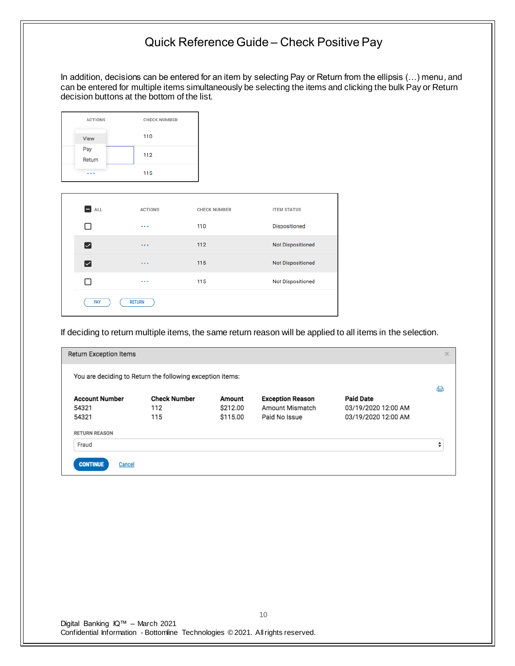In addition, decisions can be entered for an item by selecting Pay or Return from the ellipsis (…) menu, and can be entered for multiple items simultaneously be selecting the items and clicking the bulk Pay or Return decision buttons at the bottom of the list.

| <b>ACTIONS</b> | <b>CHECK NUMBER</b> |
|----------------|---------------------|
| View           | 110                 |
| Pay<br>Return  | 112                 |
|                | 115                 |

| ALL | <b>ACTIONS</b> | <b>CHECK NUMBER</b> | <b>ITEM STATUS</b>       |
|-----|----------------|---------------------|--------------------------|
|     | $\cdots$       | 110                 | <b>Dispositioned</b>     |
| ⊵   | $\cdots$       | 112                 | <b>Not Dispositioned</b> |
| ⊵   | $\cdots$       | 115                 | Not Dispositioned        |
|     | 1.11           | 115                 | <b>Not Dispositioned</b> |
| PAY | <b>RETURN</b>  |                     |                          |

If deciding to return multiple items, the same return reason will be applied to all items in the selection.

| Return Exception Items    |                                                           |          |                         |                     | $\times$ |
|---------------------------|-----------------------------------------------------------|----------|-------------------------|---------------------|----------|
|                           | You are deciding to Return the following exception items: |          |                         |                     |          |
|                           |                                                           |          |                         |                     | a        |
| <b>Account Number</b>     | <b>Check Number</b>                                       | Amount   | <b>Exception Reason</b> | <b>Paid Date</b>    |          |
| 54321                     | 112                                                       | \$212.00 | Amount Mismatch         | 03/19/2020 12:00 AM |          |
| 54321                     | 115                                                       | \$115.00 | Paid No Issue           | 03/19/2020 12:00 AM |          |
| <b>RETURN REASON</b>      |                                                           |          |                         |                     |          |
| Fraud                     |                                                           |          |                         |                     | ▲<br>▼   |
| <b>CONTINUE</b><br>Cancel |                                                           |          |                         |                     |          |